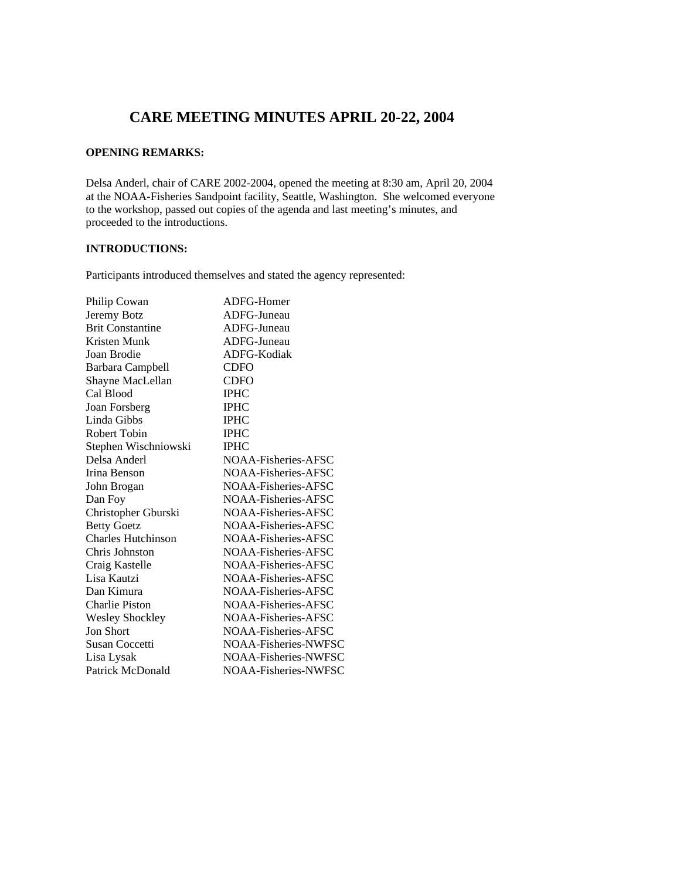# **CARE MEETING MINUTES APRIL 20-22, 2004**

# **OPENING REMARKS:**

Delsa Anderl, chair of CARE 2002-2004, opened the meeting at 8:30 am, April 20, 2004 at the NOAA-Fisheries Sandpoint facility, Seattle, Washington. She welcomed everyone to the workshop, passed out copies of the agenda and last meeting's minutes, and proceeded to the introductions.

# **INTRODUCTIONS:**

Participants introduced themselves and stated the agency represented:

| Philip Cowan              | ADFG-Homer           |
|---------------------------|----------------------|
| Jeremy Botz               | ADFG-Juneau          |
| <b>Brit Constantine</b>   | ADFG-Juneau          |
| Kristen Munk              | ADFG-Juneau          |
| Joan Brodie               | ADFG-Kodiak          |
| Barbara Campbell          | <b>CDFO</b>          |
| Shayne MacLellan          | <b>CDFO</b>          |
| Cal Blood                 | <b>IPHC</b>          |
| Joan Forsberg             | <b>IPHC</b>          |
| Linda Gibbs               | <b>IPHC</b>          |
| Robert Tobin              | <b>IPHC</b>          |
| Stephen Wischniowski      | <b>IPHC</b>          |
| Delsa Anderl              | NOAA-Fisheries-AFSC  |
| Irina Benson              | NOA A-Fisheries-AFSC |
| John Brogan               | NOAA-Fisheries-AFSC  |
| Dan Foy                   | NOAA-Fisheries-AFSC  |
| Christopher Gburski       | NOAA-Fisheries-AFSC  |
| <b>Betty Goetz</b>        | NOAA-Fisheries-AFSC  |
| <b>Charles Hutchinson</b> | NOAA-Fisheries-AFSC  |
| Chris Johnston            | NOAA-Fisheries-AFSC  |
| Craig Kastelle            | NOAA-Fisheries-AFSC  |
| Lisa Kautzi               | NOAA-Fisheries-AFSC  |
| Dan Kimura                | NOAA-Fisheries-AFSC  |
| <b>Charlie Piston</b>     | NOAA-Fisheries-AFSC  |
| <b>Wesley Shockley</b>    | NOAA-Fisheries-AFSC  |
| Jon Short                 | NOAA-Fisheries-AFSC  |
| Susan Coccetti            | NOAA-Fisheries-NWFSC |
| Lisa Lysak                | NOAA-Fisheries-NWFSC |
| Patrick McDonald          | NOAA-Fisheries-NWFSC |
|                           |                      |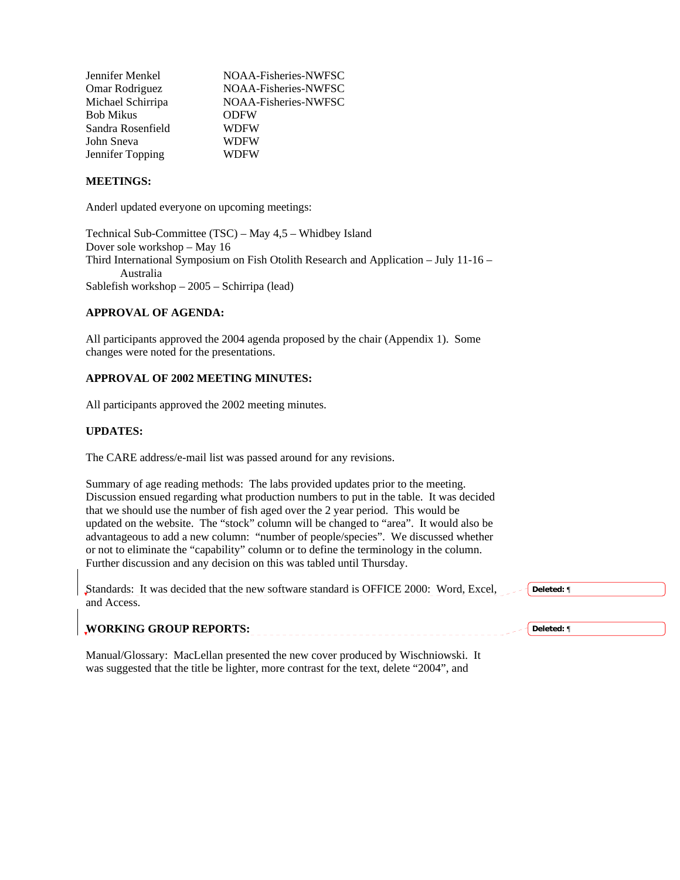| NOAA-Fisheries-NWFSC |
|----------------------|
| NOAA-Fisheries-NWFSC |
| NOAA-Fisheries-NWFSC |
| <b>ODFW</b>          |
| <b>WDFW</b>          |
| <b>WDFW</b>          |
| WDFW                 |
|                      |

#### **MEETINGS:**

Anderl updated everyone on upcoming meetings:

Technical Sub-Committee (TSC) – May 4,5 – Whidbey Island Dover sole workshop – May 16 Third International Symposium on Fish Otolith Research and Application – July 11-16 – Australia Sablefish workshop – 2005 – Schirripa (lead)

## **APPROVAL OF AGENDA:**

**WORKING GROUP REPORTS:** 

All participants approved the 2004 agenda proposed by the chair (Appendix 1). Some changes were noted for the presentations.

# **APPROVAL OF 2002 MEETING MINUTES:**

All participants approved the 2002 meeting minutes.

#### **UPDATES:**

The CARE address/e-mail list was passed around for any revisions.

Summary of age reading methods: The labs provided updates prior to the meeting. Discussion ensued regarding what production numbers to put in the table. It was decided that we should use the number of fish aged over the 2 year period. This would be updated on the website. The "stock" column will be changed to "area". It would also be advantageous to add a new column: "number of people/species". We discussed whether or not to eliminate the "capability" column or to define the terminology in the column. Further discussion and any decision on this was tabled until Thursday.

| Standards: It was decided that the new software standard is OFFICE 2000: Word, Excel, | Deleted: ¶ |
|---------------------------------------------------------------------------------------|------------|
| and Access.                                                                           |            |
|                                                                                       |            |

**Deleted:** ¶

Manual/Glossary: MacLellan presented the new cover produced by Wischniowski. It was suggested that the title be lighter, more contrast for the text, delete "2004", and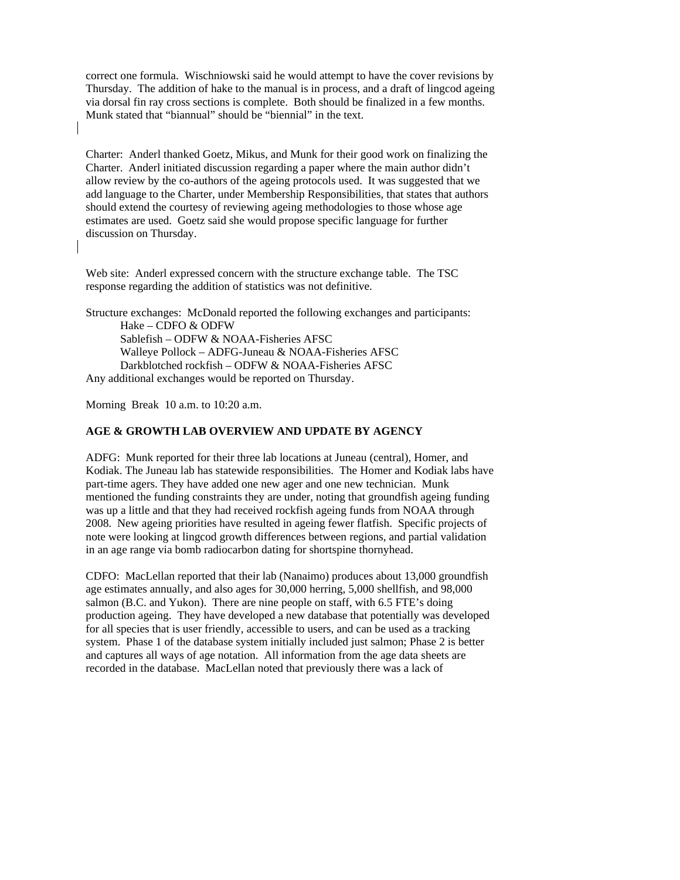correct one formula. Wischniowski said he would attempt to have the cover revisions by Thursday. The addition of hake to the manual is in process, and a draft of lingcod ageing via dorsal fin ray cross sections is complete. Both should be finalized in a few months. Munk stated that "biannual" should be "biennial" in the text.

Charter: Anderl thanked Goetz, Mikus, and Munk for their good work on finalizing the Charter. Anderl initiated discussion regarding a paper where the main author didn't allow review by the co-authors of the ageing protocols used. It was suggested that we add language to the Charter, under Membership Responsibilities, that states that authors should extend the courtesy of reviewing ageing methodologies to those whose age estimates are used. Goetz said she would propose specific language for further discussion on Thursday.

Web site: Anderl expressed concern with the structure exchange table. The TSC response regarding the addition of statistics was not definitive.

Structure exchanges: McDonald reported the following exchanges and participants: Hake – CDFO & ODFW Sablefish – ODFW & NOAA-Fisheries AFSC Walleye Pollock – ADFG-Juneau & NOAA-Fisheries AFSC Darkblotched rockfish – ODFW & NOAA-Fisheries AFSC Any additional exchanges would be reported on Thursday.

Morning Break 10 a.m. to 10:20 a.m.

## **AGE & GROWTH LAB OVERVIEW AND UPDATE BY AGENCY**

ADFG: Munk reported for their three lab locations at Juneau (central), Homer, and Kodiak. The Juneau lab has statewide responsibilities. The Homer and Kodiak labs have part-time agers. They have added one new ager and one new technician. Munk mentioned the funding constraints they are under, noting that groundfish ageing funding was up a little and that they had received rockfish ageing funds from NOAA through 2008. New ageing priorities have resulted in ageing fewer flatfish. Specific projects of note were looking at lingcod growth differences between regions, and partial validation in an age range via bomb radiocarbon dating for shortspine thornyhead.

CDFO: MacLellan reported that their lab (Nanaimo) produces about 13,000 groundfish age estimates annually, and also ages for 30,000 herring, 5,000 shellfish, and 98,000 salmon (B.C. and Yukon). There are nine people on staff, with 6.5 FTE's doing production ageing. They have developed a new database that potentially was developed for all species that is user friendly, accessible to users, and can be used as a tracking system. Phase 1 of the database system initially included just salmon; Phase 2 is better and captures all ways of age notation. All information from the age data sheets are recorded in the database. MacLellan noted that previously there was a lack of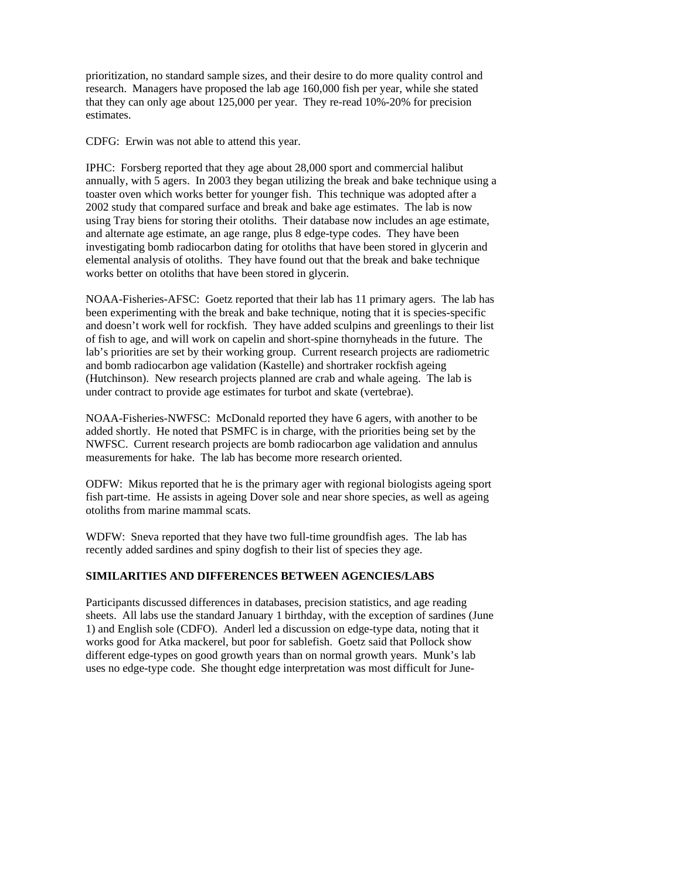prioritization, no standard sample sizes, and their desire to do more quality control and research. Managers have proposed the lab age 160,000 fish per year, while she stated that they can only age about 125,000 per year. They re-read 10%-20% for precision estimates.

CDFG: Erwin was not able to attend this year.

IPHC: Forsberg reported that they age about 28,000 sport and commercial halibut annually, with 5 agers. In 2003 they began utilizing the break and bake technique using a toaster oven which works better for younger fish. This technique was adopted after a 2002 study that compared surface and break and bake age estimates. The lab is now using Tray biens for storing their otoliths. Their database now includes an age estimate, and alternate age estimate, an age range, plus 8 edge-type codes. They have been investigating bomb radiocarbon dating for otoliths that have been stored in glycerin and elemental analysis of otoliths. They have found out that the break and bake technique works better on otoliths that have been stored in glycerin.

NOAA-Fisheries-AFSC: Goetz reported that their lab has 11 primary agers. The lab has been experimenting with the break and bake technique, noting that it is species-specific and doesn't work well for rockfish. They have added sculpins and greenlings to their list of fish to age, and will work on capelin and short-spine thornyheads in the future. The lab's priorities are set by their working group. Current research projects are radiometric and bomb radiocarbon age validation (Kastelle) and shortraker rockfish ageing (Hutchinson). New research projects planned are crab and whale ageing. The lab is under contract to provide age estimates for turbot and skate (vertebrae).

NOAA-Fisheries-NWFSC: McDonald reported they have 6 agers, with another to be added shortly. He noted that PSMFC is in charge, with the priorities being set by the NWFSC. Current research projects are bomb radiocarbon age validation and annulus measurements for hake. The lab has become more research oriented.

ODFW: Mikus reported that he is the primary ager with regional biologists ageing sport fish part-time. He assists in ageing Dover sole and near shore species, as well as ageing otoliths from marine mammal scats.

WDFW: Sneva reported that they have two full-time groundfish ages. The lab has recently added sardines and spiny dogfish to their list of species they age.

# **SIMILARITIES AND DIFFERENCES BETWEEN AGENCIES/LABS**

Participants discussed differences in databases, precision statistics, and age reading sheets. All labs use the standard January 1 birthday, with the exception of sardines (June 1) and English sole (CDFO). Anderl led a discussion on edge-type data, noting that it works good for Atka mackerel, but poor for sablefish. Goetz said that Pollock show different edge-types on good growth years than on normal growth years. Munk's lab uses no edge-type code. She thought edge interpretation was most difficult for June-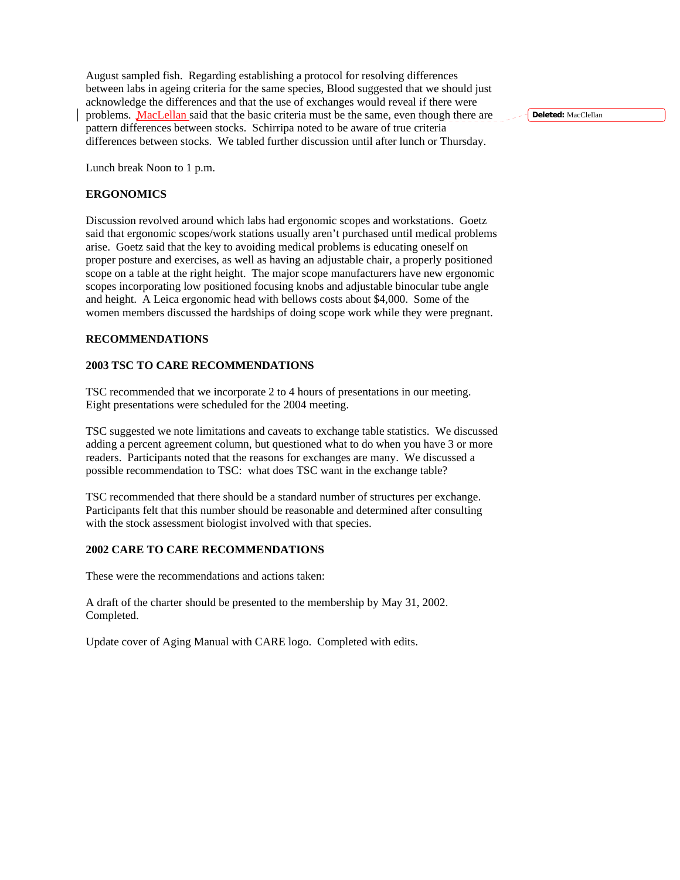August sampled fish. Regarding establishing a protocol for resolving differences between labs in ageing criteria for the same species, Blood suggested that we should just acknowledge the differences and that the use of exchanges would reveal if there were problems. MacLellan said that the basic criteria must be the same, even though there are pattern differences between stocks. Schirripa noted to be aware of true criteria differences between stocks. We tabled further discussion until after lunch or Thursday.

Lunch break Noon to 1 p.m.

#### **ERGONOMICS**

Discussion revolved around which labs had ergonomic scopes and workstations. Goetz said that ergonomic scopes/work stations usually aren't purchased until medical problems arise. Goetz said that the key to avoiding medical problems is educating oneself on proper posture and exercises, as well as having an adjustable chair, a properly positioned scope on a table at the right height. The major scope manufacturers have new ergonomic scopes incorporating low positioned focusing knobs and adjustable binocular tube angle and height. A Leica ergonomic head with bellows costs about \$4,000. Some of the women members discussed the hardships of doing scope work while they were pregnant.

#### **RECOMMENDATIONS**

#### **2003 TSC TO CARE RECOMMENDATIONS**

TSC recommended that we incorporate 2 to 4 hours of presentations in our meeting. Eight presentations were scheduled for the 2004 meeting.

TSC suggested we note limitations and caveats to exchange table statistics. We discussed adding a percent agreement column, but questioned what to do when you have 3 or more readers. Participants noted that the reasons for exchanges are many. We discussed a possible recommendation to TSC: what does TSC want in the exchange table?

TSC recommended that there should be a standard number of structures per exchange. Participants felt that this number should be reasonable and determined after consulting with the stock assessment biologist involved with that species.

### **2002 CARE TO CARE RECOMMENDATIONS**

These were the recommendations and actions taken:

A draft of the charter should be presented to the membership by May 31, 2002. Completed.

Update cover of Aging Manual with CARE logo. Completed with edits.

**Deleted:** MacClellan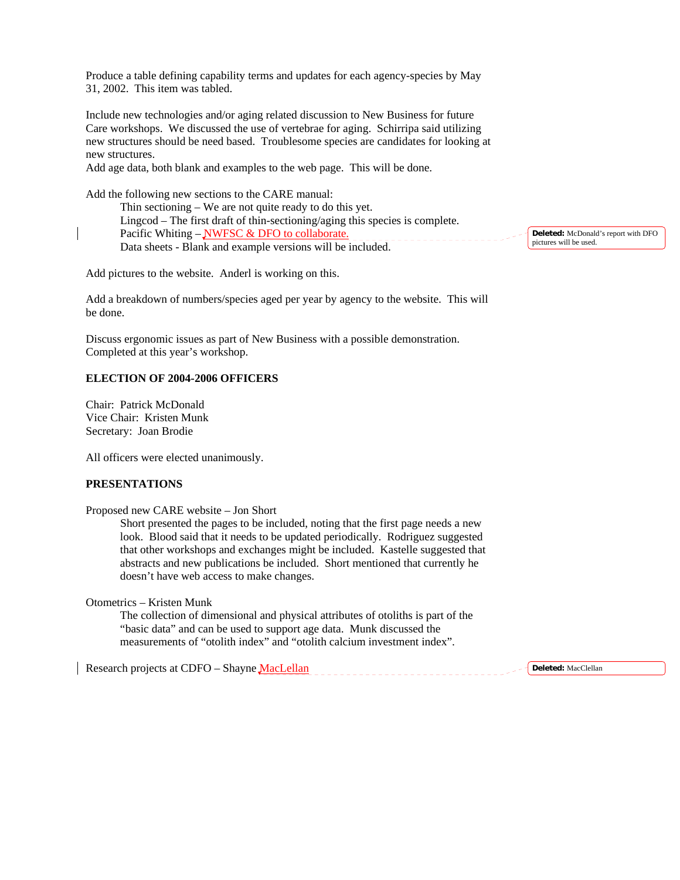Produce a table defining capability terms and updates for each agency-species by May 31, 2002. This item was tabled.

Include new technologies and/or aging related discussion to New Business for future Care workshops. We discussed the use of vertebrae for aging. Schirripa said utilizing new structures should be need based. Troublesome species are candidates for looking at new structures.

Add age data, both blank and examples to the web page. This will be done.

Add the following new sections to the CARE manual:

 Thin sectioning – We are not quite ready to do this yet. Lingcod – The first draft of thin-sectioning/aging this species is complete. Pacific Whiting – NWFSC & DFO to collaborate. Data sheets - Blank and example versions will be included.

**Deleted:** McDonald's report with DFO pictures will be used.

Add pictures to the website. Anderl is working on this.

Add a breakdown of numbers/species aged per year by agency to the website. This will be done.

Discuss ergonomic issues as part of New Business with a possible demonstration. Completed at this year's workshop.

#### **ELECTION OF 2004-2006 OFFICERS**

Chair: Patrick McDonald Vice Chair: Kristen Munk Secretary: Joan Brodie

All officers were elected unanimously.

#### **PRESENTATIONS**

Proposed new CARE website – Jon Short

 Short presented the pages to be included, noting that the first page needs a new look. Blood said that it needs to be updated periodically. Rodriguez suggested that other workshops and exchanges might be included. Kastelle suggested that abstracts and new publications be included. Short mentioned that currently he doesn't have web access to make changes.

Otometrics – Kristen Munk

The collection of dimensional and physical attributes of otoliths is part of the "basic data" and can be used to support age data. Munk discussed the measurements of "otolith index" and "otolith calcium investment index".

Research projects at CDFO – Shayne MacLellan

**Deleted:** MacClellan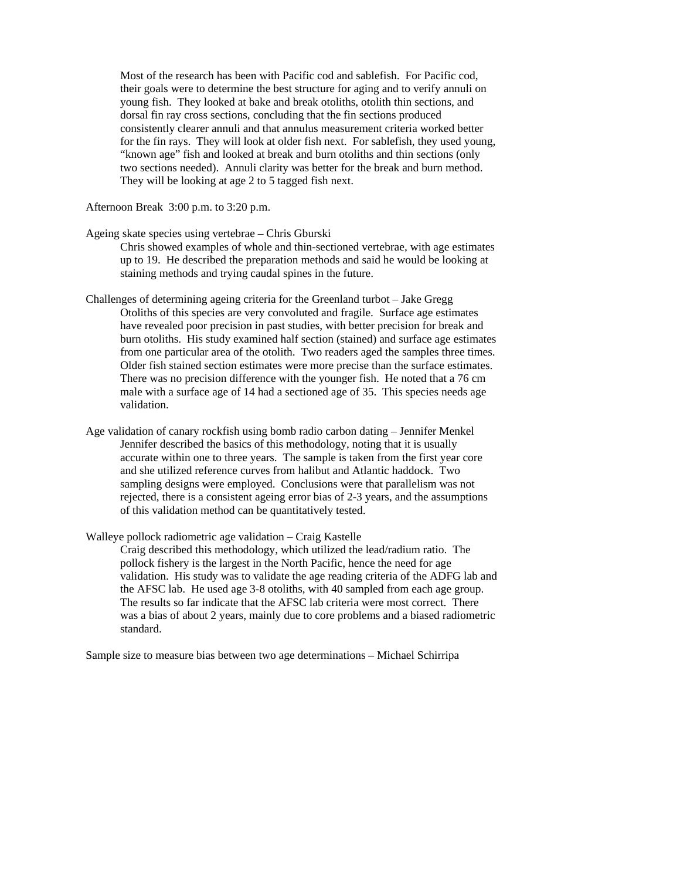Most of the research has been with Pacific cod and sablefish. For Pacific cod, their goals were to determine the best structure for aging and to verify annuli on young fish. They looked at bake and break otoliths, otolith thin sections, and dorsal fin ray cross sections, concluding that the fin sections produced consistently clearer annuli and that annulus measurement criteria worked better for the fin rays. They will look at older fish next. For sablefish, they used young, "known age" fish and looked at break and burn otoliths and thin sections (only two sections needed). Annuli clarity was better for the break and burn method. They will be looking at age 2 to 5 tagged fish next.

Afternoon Break 3:00 p.m. to 3:20 p.m.

Ageing skate species using vertebrae – Chris Gburski

Chris showed examples of whole and thin-sectioned vertebrae, with age estimates up to 19. He described the preparation methods and said he would be looking at staining methods and trying caudal spines in the future.

- Challenges of determining ageing criteria for the Greenland turbot Jake Gregg Otoliths of this species are very convoluted and fragile. Surface age estimates have revealed poor precision in past studies, with better precision for break and burn otoliths. His study examined half section (stained) and surface age estimates from one particular area of the otolith. Two readers aged the samples three times. Older fish stained section estimates were more precise than the surface estimates. There was no precision difference with the younger fish. He noted that a 76 cm male with a surface age of 14 had a sectioned age of 35. This species needs age validation.
- Age validation of canary rockfish using bomb radio carbon dating Jennifer Menkel Jennifer described the basics of this methodology, noting that it is usually accurate within one to three years. The sample is taken from the first year core and she utilized reference curves from halibut and Atlantic haddock. Two sampling designs were employed. Conclusions were that parallelism was not rejected, there is a consistent ageing error bias of 2-3 years, and the assumptions of this validation method can be quantitatively tested.

Walleye pollock radiometric age validation – Craig Kastelle Craig described this methodology, which utilized the lead/radium ratio. The pollock fishery is the largest in the North Pacific, hence the need for age validation. His study was to validate the age reading criteria of the ADFG lab and the AFSC lab. He used age 3-8 otoliths, with 40 sampled from each age group. The results so far indicate that the AFSC lab criteria were most correct. There was a bias of about 2 years, mainly due to core problems and a biased radiometric standard.

Sample size to measure bias between two age determinations – Michael Schirripa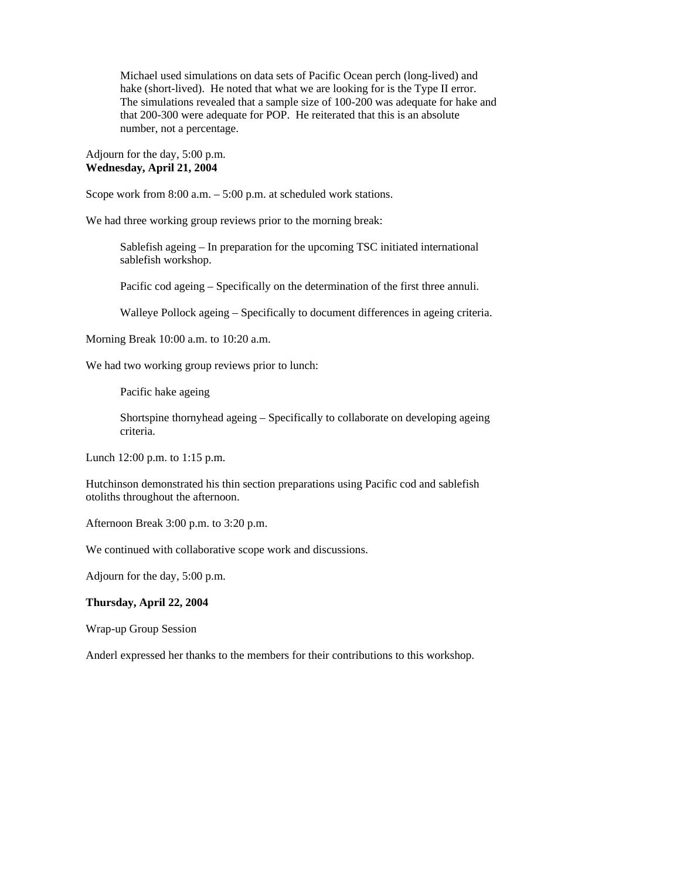Michael used simulations on data sets of Pacific Ocean perch (long-lived) and hake (short-lived). He noted that what we are looking for is the Type II error. The simulations revealed that a sample size of 100-200 was adequate for hake and that 200-300 were adequate for POP. He reiterated that this is an absolute number, not a percentage.

Adjourn for the day, 5:00 p.m. **Wednesday, April 21, 2004** 

Scope work from 8:00 a.m. – 5:00 p.m. at scheduled work stations.

We had three working group reviews prior to the morning break:

Sablefish ageing – In preparation for the upcoming TSC initiated international sablefish workshop.

Pacific cod ageing – Specifically on the determination of the first three annuli.

Walleye Pollock ageing – Specifically to document differences in ageing criteria.

Morning Break 10:00 a.m. to 10:20 a.m.

We had two working group reviews prior to lunch:

Pacific hake ageing

Shortspine thornyhead ageing – Specifically to collaborate on developing ageing criteria.

Lunch 12:00 p.m. to 1:15 p.m.

Hutchinson demonstrated his thin section preparations using Pacific cod and sablefish otoliths throughout the afternoon.

Afternoon Break 3:00 p.m. to 3:20 p.m.

We continued with collaborative scope work and discussions.

Adjourn for the day, 5:00 p.m.

#### **Thursday, April 22, 2004**

Wrap-up Group Session

Anderl expressed her thanks to the members for their contributions to this workshop.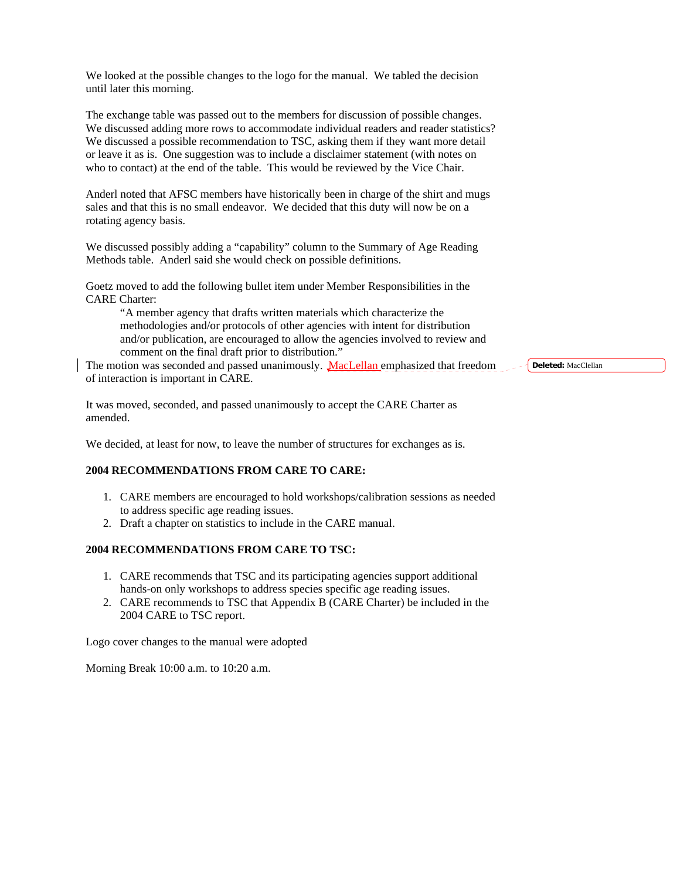We looked at the possible changes to the logo for the manual. We tabled the decision until later this morning.

The exchange table was passed out to the members for discussion of possible changes. We discussed adding more rows to accommodate individual readers and reader statistics? We discussed a possible recommendation to TSC, asking them if they want more detail or leave it as is. One suggestion was to include a disclaimer statement (with notes on who to contact) at the end of the table. This would be reviewed by the Vice Chair.

Anderl noted that AFSC members have historically been in charge of the shirt and mugs sales and that this is no small endeavor. We decided that this duty will now be on a rotating agency basis.

We discussed possibly adding a "capability" column to the Summary of Age Reading Methods table. Anderl said she would check on possible definitions.

Goetz moved to add the following bullet item under Member Responsibilities in the CARE Charter:

"A member agency that drafts written materials which characterize the methodologies and/or protocols of other agencies with intent for distribution and/or publication, are encouraged to allow the agencies involved to review and comment on the final draft prior to distribution."

The motion was seconded and passed unanimously. MacLellan emphasized that freedom of interaction is important in CARE.

It was moved, seconded, and passed unanimously to accept the CARE Charter as amended.

We decided, at least for now, to leave the number of structures for exchanges as is.

# **2004 RECOMMENDATIONS FROM CARE TO CARE:**

- 1. CARE members are encouraged to hold workshops/calibration sessions as needed to address specific age reading issues.
- 2. Draft a chapter on statistics to include in the CARE manual.

# **2004 RECOMMENDATIONS FROM CARE TO TSC:**

- 1. CARE recommends that TSC and its participating agencies support additional hands-on only workshops to address species specific age reading issues.
- 2. CARE recommends to TSC that Appendix B (CARE Charter) be included in the 2004 CARE to TSC report.

Logo cover changes to the manual were adopted

Morning Break 10:00 a.m. to 10:20 a.m.

**Deleted:** MacClellan